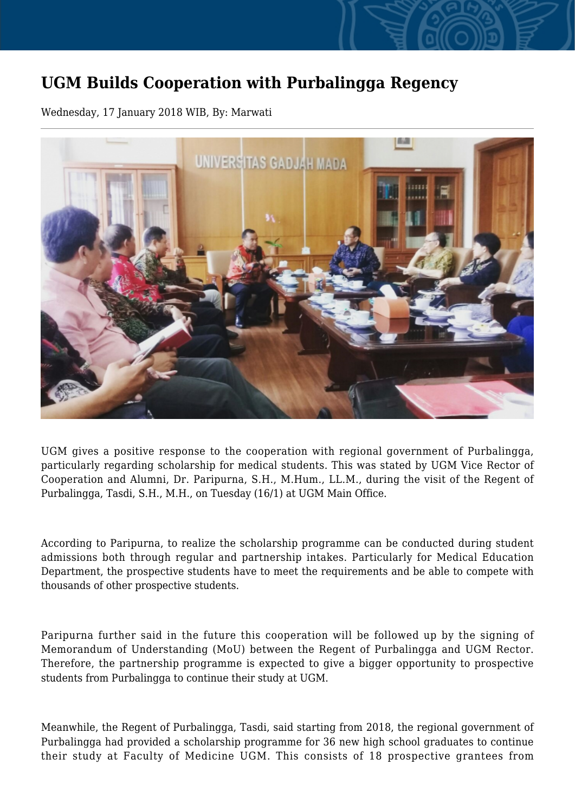## **UGM Builds Cooperation with Purbalingga Regency**

Wednesday, 17 January 2018 WIB, By: Marwati



UGM gives a positive response to the cooperation with regional government of Purbalingga, particularly regarding scholarship for medical students. This was stated by UGM Vice Rector of Cooperation and Alumni, Dr. Paripurna, S.H., M.Hum., LL.M., during the visit of the Regent of Purbalingga, Tasdi, S.H., M.H., on Tuesday (16/1) at UGM Main Office.

According to Paripurna, to realize the scholarship programme can be conducted during student admissions both through regular and partnership intakes. Particularly for Medical Education Department, the prospective students have to meet the requirements and be able to compete with thousands of other prospective students.

Paripurna further said in the future this cooperation will be followed up by the signing of Memorandum of Understanding (MoU) between the Regent of Purbalingga and UGM Rector. Therefore, the partnership programme is expected to give a bigger opportunity to prospective students from Purbalingga to continue their study at UGM.

Meanwhile, the Regent of Purbalingga, Tasdi, said starting from 2018, the regional government of Purbalingga had provided a scholarship programme for 36 new high school graduates to continue their study at Faculty of Medicine UGM. This consists of 18 prospective grantees from